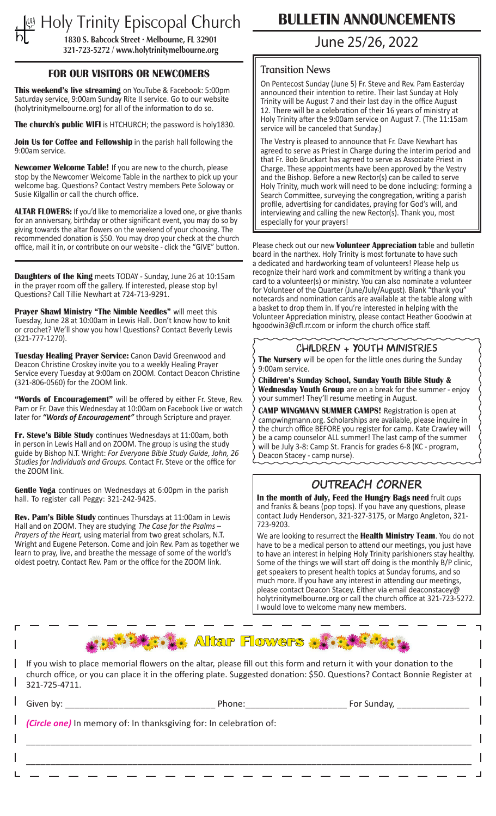# **Holy Trinity Episcopal Church CONCLETIN ANNOUNCEMENTS 1830 S. Babcock Street • Melbourne, FL 32901**

**321-723-5272 / www.holytrinitymelbourne.org**

#### **FOR OUR VISITORS OR NEWCOMERS**

**This weekend's live streaming** on YouTube & Facebook: 5:00pm Saturday service, 9:00am Sunday Rite II service. Go to our website (holytrinitymelbourne.org) for all of the information to do so.

**The church's public WIFI** is HTCHURCH; the password is holy1830.

**Join Us for Coffee and Fellowship** in the parish hall following the 9:00am service.

**Newcomer Welcome Table!** If you are new to the church, please stop by the Newcomer Welcome Table in the narthex to pick up your welcome bag. Questions? Contact Vestry members Pete Soloway or Susie Kilgallin or call the church office.

**ALTAR FLOWERS:** If you'd like to memorialize a loved one, or give thanks for an anniversary, birthday or other significant event, you may do so by giving towards the altar flowers on the weekend of your choosing. The recommended donation is \$50. You may drop your check at the church office, mail it in, or contribute on our website - click the "GIVE" button.

**Daughters of the King** meets TODAY - Sunday, June 26 at 10:15am in the prayer room off the gallery. If interested, please stop by! Questions? Call Tillie Newhart at 724-713-9291.

**Prayer Shawl Ministry "The Nimble Needles"** will meet this Tuesday, June 28 at 10:00am in Lewis Hall. Don't know how to knit or crochet? We'll show you how! Questions? Contact Beverly Lewis (321-777-1270).

**Tuesday Healing Prayer Service:** Canon David Greenwood and Deacon Christine Croskey invite you to a weekly Healing Prayer Service every Tuesday at 9:00am on ZOOM. Contact Deacon Christine (321-806-0560) for the ZOOM link.

"Words of Encouragement" will be offered by either Fr. Steve, Rev. Pam or Fr. Dave this Wednesday at 10:00am on Facebook Live or watch later for *"Words of Encouragement"* through Scripture and prayer.

**Fr. Steve's Bible Study** continues Wednesdays at 11:00am, both in person in Lewis Hall and on ZOOM. The group is using the study guide by Bishop N.T. Wright: *For Everyone Bible Study Guide, John, 26 Studies for Individuals and Groups.* Contact Fr. Steve or the office for the ZOOM link.

**Gentle Yoga** continues on Wednesdays at 6:00pm in the parish hall. To register call Peggy: 321-242-9425.

**Rev. Pam's Bible Study** continues Thursdays at 11:00am in Lewis Hall and on ZOOM. They are studying *The Case for the Psalms – Prayers of the Heart,* using material from two great scholars, N.T. Wright and Eugene Peterson. Come and join Rev. Pam as together we learn to pray, live, and breathe the message of some of the world's oldest poetry. Contact Rev. Pam or the office for the ZOOM link.

# June 25/26, 2022

#### **Transition News**

On Pentecost Sunday (June 5) Fr. Steve and Rev. Pam Easterday announced their intention to retire. Their last Sunday at Holy Trinity will be August 7 and their last day in the office August 12. There will be a celebration of their 16 years of ministry at Holy Trinity after the 9:00am service on August 7. (The 11:15am service will be canceled that Sunday.)

The Vestry is pleased to announce that Fr. Dave Newhart has agreed to serve as Priest in Charge during the interim period and that Fr. Bob Bruckart has agreed to serve as Associate Priest in Charge. These appointments have been approved by the Vestry and the Bishop. Before a new Rector(s) can be called to serve Holy Trinity, much work will need to be done including: forming a Search Committee, surveying the congregation, writing a parish profile, advertising for candidates, praying for God's will, and interviewing and calling the new Rector(s). Thank you, most especially for your prayers!

Please check out our new **Volunteer Appreciation** table and bulletin board in the narthex. Holy Trinity is most fortunate to have such a dedicated and hardworking team of volunteers! Please help us recognize their hard work and commitment by writing a thank you card to a volunteer(s) or ministry. You can also nominate a volunteer for Volunteer of the Quarter (June/July/August). Blank "thank you" notecards and nomination cards are available at the table along with a basket to drop them in. If you're interested in helping with the Volunteer Appreciation ministry, please contact Heather Goodwin at hgoodwin3@cfl.rr.com or inform the church office staff.

### CHILDREN + YOUTH MINISTRIES

**The Nursery** will be open for the little ones during the Sunday 9:00am service.

**Children's Sunday School, Sunday Youth Bible Study & Wednesday Youth Group** are on a break for the summer - enjoy your summer! They'll resume meeting in August.

**CAMP WINGMANN SUMMER CAMPS!** Registration is open at campwingmann.org. Scholarships are available, please inquire in the church office BEFORE you register for camp. Kate Crawley will be a camp counselor ALL summer! The last camp of the summer will be July 3-8: Camp St. Francis for grades 6-8 (KC - program, Deacon Stacey - camp nurse).

# OUTREACH CORNER

**In the month of July, Feed the Hungry Bags need** fruit cups and franks & beans (pop tops). If you have any questions, please contact Judy Henderson, 321-327-3175, or Margo Angleton, 321- 723-9203.

We are looking to resurrect the **Health Ministry Team**. You do not have to be a medical person to attend our meetings, you just have to have an interest in helping Holy Trinity parishioners stay healthy. Some of the things we will start off doing is the monthly B/P clinic, get speakers to present health topics at Sunday forums, and so much more. If you have any interest in attending our meetings, please contact Deacon Stacey. Either via email deaconstacey@ holytrinitymelbourne.org or call the church office at 321-723-5272. I would love to welcome many new members.

**Altar Flowers** 

If you wish to place memorial flowers on the altar, please fill out this form and return it with your donation to the church office, or you can place it in the offering plate. Suggested donation: \$50. Questions? Contact Bonnie Register at 321-725-4711.

| Given by: the contract of the contract of the contract of the contract of the contract of the contract of the contract of the contract of the contract of the contract of the contract of the contract of the contract of the | Phone:                                                             | For Sunday, |
|-------------------------------------------------------------------------------------------------------------------------------------------------------------------------------------------------------------------------------|--------------------------------------------------------------------|-------------|
|                                                                                                                                                                                                                               | (Circle one) In memory of: In thanksgiving for: In celebration of: |             |
|                                                                                                                                                                                                                               |                                                                    |             |
|                                                                                                                                                                                                                               |                                                                    |             |
|                                                                                                                                                                                                                               |                                                                    |             |